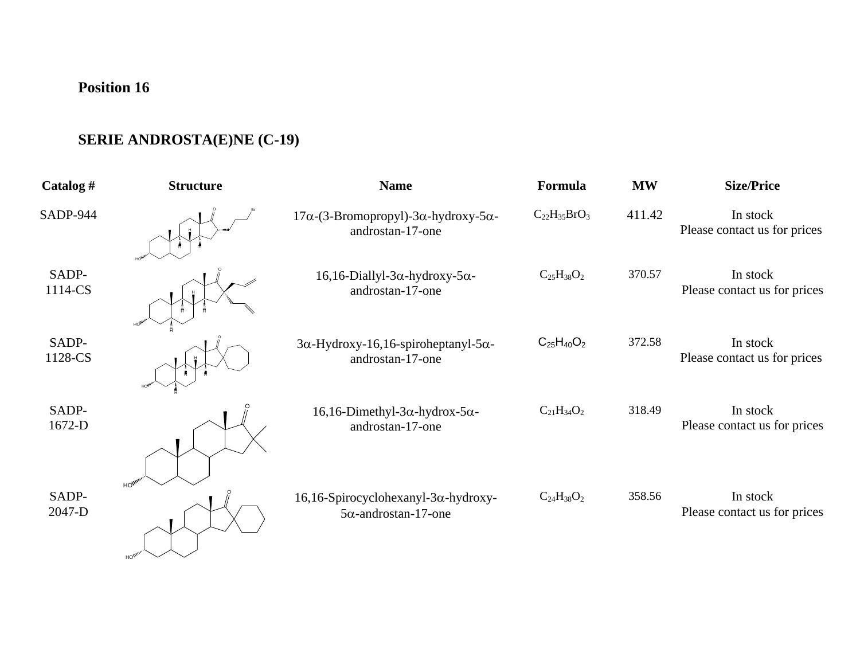## **Position 16**

## **SERIE ANDROSTA(E)NE (C-19)**

| Catalog #        | <b>Structure</b> | <b>Name</b>                                                                      | Formula             | <b>MW</b> | <b>Size/Price</b>                        |
|------------------|------------------|----------------------------------------------------------------------------------|---------------------|-----------|------------------------------------------|
| <b>SADP-944</b>  |                  | $17\alpha$ -(3-Bromopropyl)-3 $\alpha$ -hydroxy-5 $\alpha$ -<br>androstan-17-one | $C_{22}H_{35}BrO_3$ | 411.42    | In stock<br>Please contact us for prices |
| SADP-<br>1114-CS |                  | $16, 16$ -Diallyl-3 $\alpha$ -hydroxy-5 $\alpha$ -<br>androstan-17-one           | $C_{25}H_{38}O_2$   | 370.57    | In stock<br>Please contact us for prices |
| SADP-<br>1128-CS |                  | $3\alpha$ -Hydroxy-16,16-spiroheptanyl-5 $\alpha$ -<br>androstan-17-one          | $C_{25}H_{40}O_2$   | 372.58    | In stock<br>Please contact us for prices |
| SADP-<br>1672-D  |                  | $16, 16$ -Dimethyl-3 $\alpha$ -hydrox-5 $\alpha$ -<br>androstan-17-one           | $C_{21}H_{34}O_2$   | 318.49    | In stock<br>Please contact us for prices |
| SADP-<br>2047-D  | HO <sup>W</sup>  | $16, 16$ -Spirocyclohexanyl-3 $\alpha$ -hydroxy-<br>$5\alpha$ -androstan-17-one  | $C_{24}H_{38}O_2$   | 358.56    | In stock<br>Please contact us for prices |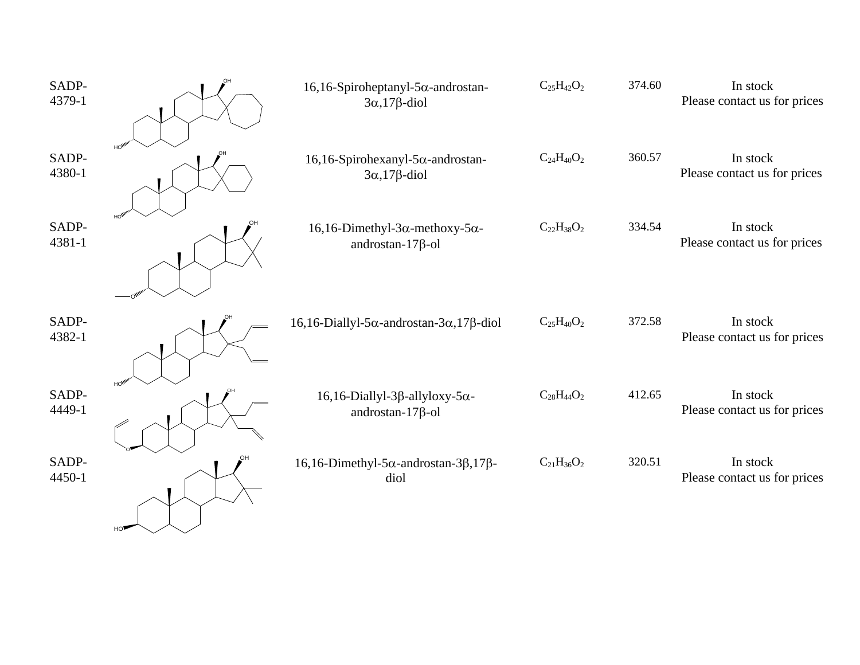| SADP-<br>4379-1 |    | $16, 16$ -Spiroheptanyl-5 $\alpha$ -androstan-<br>$3\alpha$ , 17 $\beta$ -diol  | $C_{25}H_{42}O_2$ | 374.60 | In stock<br>Please contact us for prices |
|-----------------|----|---------------------------------------------------------------------------------|-------------------|--------|------------------------------------------|
| SADP-<br>4380-1 |    | $16, 16$ -Spirohexanyl-5 $\alpha$ -androstan-<br>$3\alpha$ , 17 $\beta$ -diol   | $C_{24}H_{40}O_2$ | 360.57 | In stock<br>Please contact us for prices |
| SADP-<br>4381-1 |    | $16, 16$ -Dimethyl-3 $\alpha$ -methoxy-5 $\alpha$ -<br>androstan- $17\beta$ -ol | $C_{22}H_{38}O_2$ | 334.54 | In stock<br>Please contact us for prices |
| SADP-<br>4382-1 |    | $16, 16$ -Diallyl-5 $\alpha$ -androstan-3 $\alpha$ , 17 $\beta$ -diol           | $C_{25}H_{40}O_2$ | 372.58 | In stock<br>Please contact us for prices |
| SADP-<br>4449-1 |    | $16, 16$ -Diallyl-3 $\beta$ -allyloxy-5 $\alpha$ -<br>androstan- $17\beta$ -ol  | $C_{28}H_{44}O_2$ | 412.65 | In stock<br>Please contact us for prices |
| SADP-<br>4450-1 | HO | $16, 16$ -Dimethyl-5 $\alpha$ -androstan-3 $\beta$ ,17 $\beta$ -<br>diol        | $C_{21}H_{36}O_2$ | 320.51 | In stock<br>Please contact us for prices |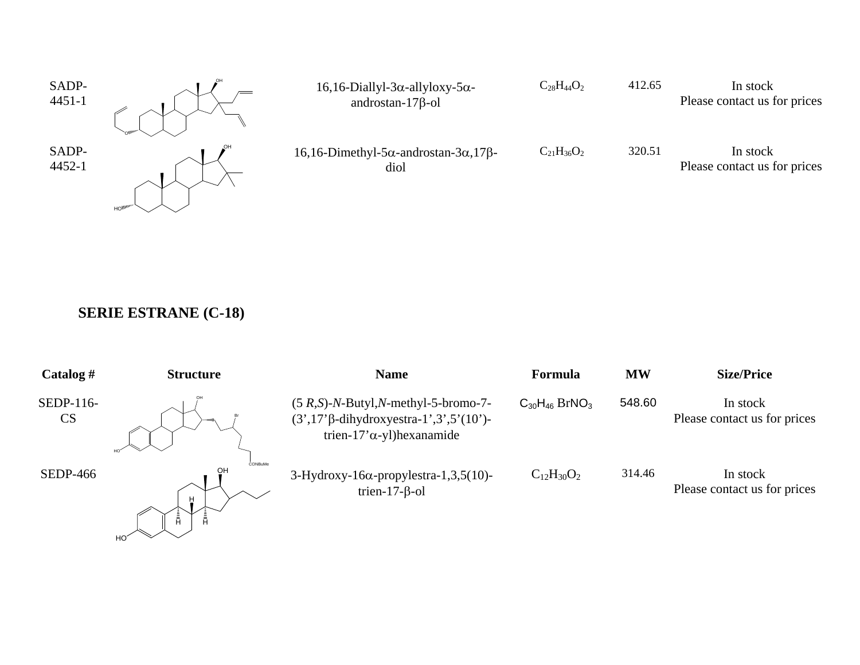

## **SERIE ESTRANE (C-18)**

| Catalog $#$            | <b>Structure</b>          | <b>Name</b>                                                                                                                   | Formula                          | <b>MW</b> | <b>Size/Price</b>                        |
|------------------------|---------------------------|-------------------------------------------------------------------------------------------------------------------------------|----------------------------------|-----------|------------------------------------------|
| SEDP-116-<br><b>CS</b> | HO <sup>*</sup>           | $(5 R,S)$ -N-Butyl,N-methyl-5-bromo-7-<br>$(3',17'\beta$ -dihydroxyestra-1',3',5'(10')-<br>trien-17' $\alpha$ -yl) hexanamide | $C_{30}H_{46}$ BrNO <sub>3</sub> | 548.60    | In stock<br>Please contact us for prices |
| <b>SEDP-466</b>        | CONBuMe<br>OH<br>Ă<br>ΗO΄ | $3-Hydroxy-16\alpha$ -propylestra-1,3,5(10)-<br>trien- $17$ - $\beta$ -ol                                                     | $C_{12}H_{30}O_2$                | 314.46    | In stock<br>Please contact us for prices |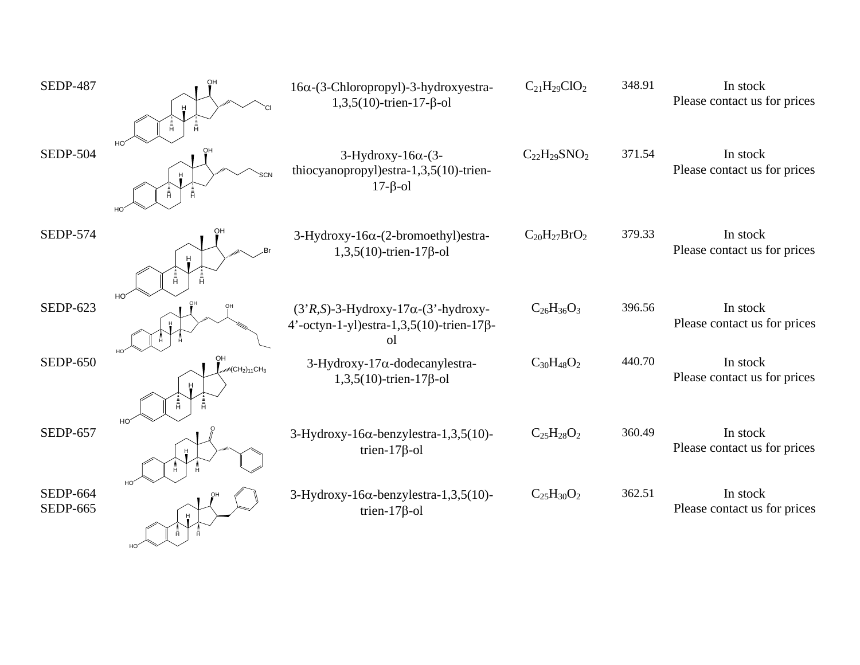| <b>SEDP-487</b>                    |                                 | 16α-(3-Chloropropyl)-3-hydroxyestra-<br>$1,3,5(10)$ -trien-17- $\beta$ -ol                           | $C_{21}H_{29}ClO_2$ | 348.91 | In stock<br>Please contact us for prices |
|------------------------------------|---------------------------------|------------------------------------------------------------------------------------------------------|---------------------|--------|------------------------------------------|
| <b>SEDP-504</b>                    |                                 | $3$ -Hydroxy-16 $\alpha$ -(3-<br>thiocyanopropyl)estra-1,3,5(10)-trien-<br>$17 - \beta - 01$         | $C_{22}H_{29}SNO2$  | 371.54 | In stock<br>Please contact us for prices |
| <b>SEDP-574</b>                    |                                 | 3-Hydroxy-16α-(2-bromoethyl)estra-<br>$1,3,5(10)$ -trien-17 $\beta$ -ol                              | $C_{20}H_{27}BrO_2$ | 379.33 | In stock<br>Please contact us for prices |
| <b>SEDP-623</b>                    |                                 | $(3'R,S)$ -3-Hydroxy-17 $\alpha$ - $(3'$ -hydroxy-<br>4'-octyn-1-yl)estra-1,3,5(10)-trien-17β-<br>οI | $C_{26}H_{36}O_3$   | 396.56 | In stock<br>Please contact us for prices |
| <b>SEDP-650</b>                    | OН<br>$m(CH2)11CH3$<br>Ĥ.<br>HO | 3-Hydroxy-17α-dodecanylestra-<br>$1,3,5(10)$ -trien-17 $\beta$ -ol                                   | $C_{30}H_{48}O_2$   | 440.70 | In stock<br>Please contact us for prices |
| <b>SEDP-657</b>                    | H <sub>O</sub>                  | $3-Hydroxy-16\alpha$ -benzylestra-1,3,5(10)-<br>trien- $17\beta$ -ol                                 | $C_{25}H_{28}O_2$   | 360.49 | In stock<br>Please contact us for prices |
| <b>SEDP-664</b><br><b>SEDP-665</b> |                                 | $3-Hydroxy-16\alpha$ -benzylestra-1,3,5(10)-<br>trien- $17\beta$ -ol                                 | $C_{25}H_{30}O_2$   | 362.51 | In stock<br>Please contact us for prices |

HO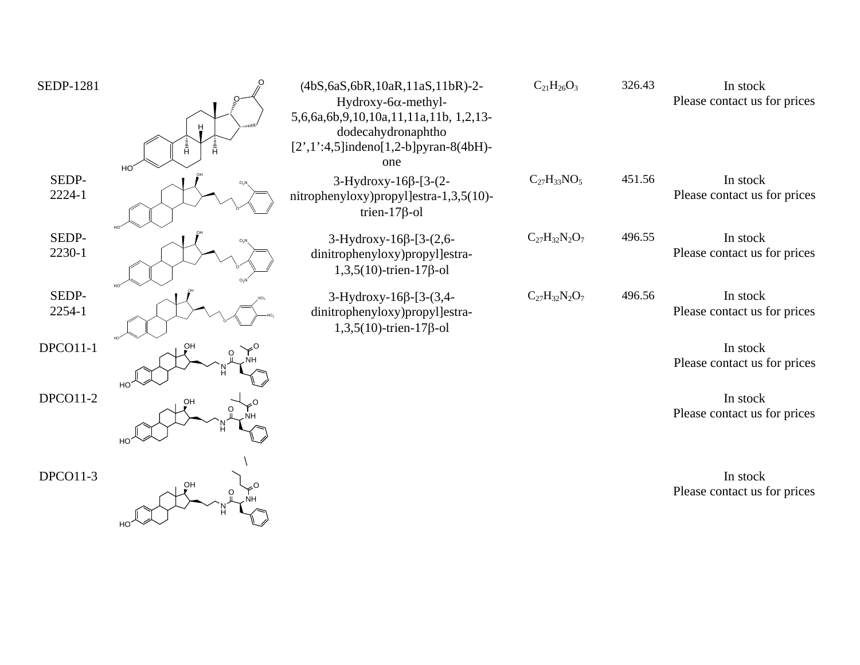| <b>SEDP-1281</b> | Ā.<br>Ĥ<br>H <sub>O</sub> | (4bS, 6aS, 6bR, 10aR, 11aS, 11bR)-2-<br>Hydroxy-6 $\alpha$ -methyl-<br>5,6,6a,6b,9,10,10a,11,11a,11b, 1,2,13-<br>dodecahydronaphtho<br>$[2', 1':4, 5]$ indeno $[1, 2-b]$ pyran-8(4bH)-<br>one | $C_{21}H_{26}O_3$    | 326.43 | In stock<br>Please contact us for prices |
|------------------|---------------------------|-----------------------------------------------------------------------------------------------------------------------------------------------------------------------------------------------|----------------------|--------|------------------------------------------|
| SEDP-<br>2224-1  |                           | $3-Hydroxy-16\beta-[3-(2-$<br>nitrophenyloxy)propyl]estra-1,3,5(10)-<br>trien- $17\beta$ -ol                                                                                                  | $C_{27}H_{33}NO_5$   | 451.56 | In stock<br>Please contact us for prices |
| SEDP-<br>2230-1  |                           | $3-Hydroxy-16\beta-[3-(2,6-$<br>dinitrophenyloxy)propyl]estra-<br>$1,3,5(10)$ -trien-17 $\beta$ -ol                                                                                           | $C_{27}H_{32}N_2O_7$ | 496.55 | In stock<br>Please contact us for prices |
| SEDP-<br>2254-1  |                           | $3-Hydroxy-16\beta-[3-(3,4-$<br>dinitrophenyloxy)propyl]estra-<br>$1,3,5(10)$ -trien-17 $\beta$ -ol                                                                                           | $C_{27}H_{32}N_2O_7$ | 496.56 | In stock<br>Please contact us for prices |
| $DPCO11-1$       | OH<br>HO <sup>-</sup>     |                                                                                                                                                                                               |                      |        | In stock<br>Please contact us for prices |
| <b>DPCO11-2</b>  | OН<br>HO                  |                                                                                                                                                                                               |                      |        | In stock<br>Please contact us for prices |
| DPCO11-3         | OH<br>HO <sup>-</sup>     |                                                                                                                                                                                               |                      |        | In stock<br>Please contact us for prices |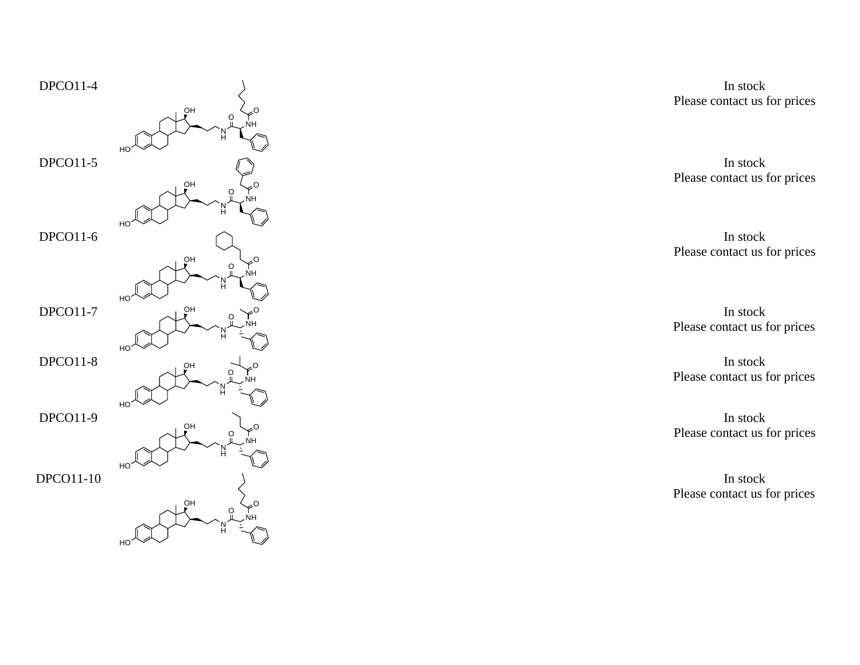

In stock Please contact us for prices

In stock Please contact us for prices

o and the stock of the stock of the stock of the stock of the stock of the stock of the stock of the stock of the stock of the stock of the stock of the stock of the stock of the stock of the stock of the stock of the stoc In stock Please contact us for prices

o and the state of the state of  $\ln$  stock Please contact us for prices

> In stock Please contact us for prices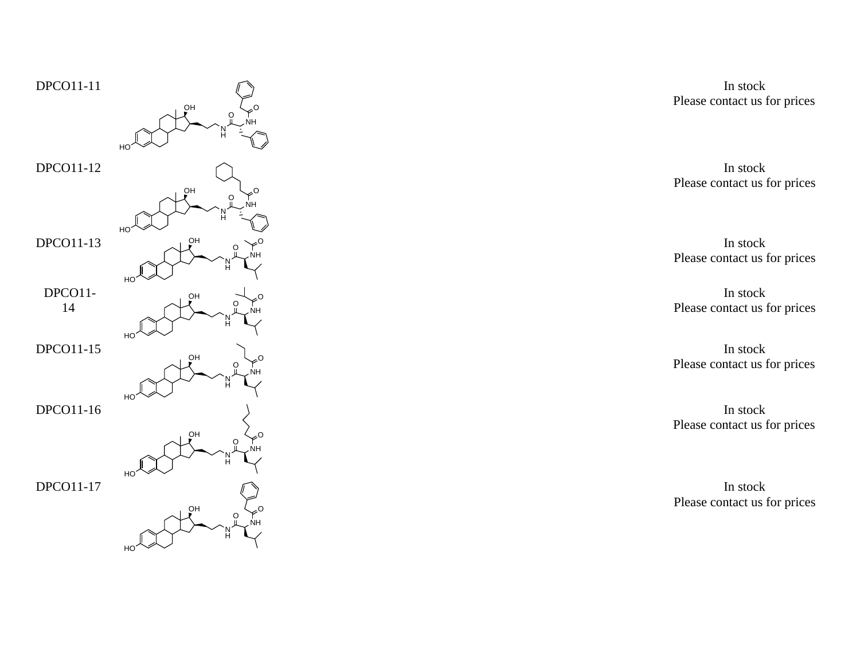

In stock Please contact us for prices

<u>o</u> and the stock of the stock of the stock of the stock of the stock of the stock of the stock of the stock of the stock of the stock of the stock of the stock of the stock of the stock of the stock of the stock of the st In stock Please contact us for prices

o and the state of the state of the state of the state of the state of the state of the state of the state of the state of the state of the state of the state of the state of the state of the state of the state of the stat Please contact us for prices

> In stock Please contact us for prices

> In stock Please contact us for prices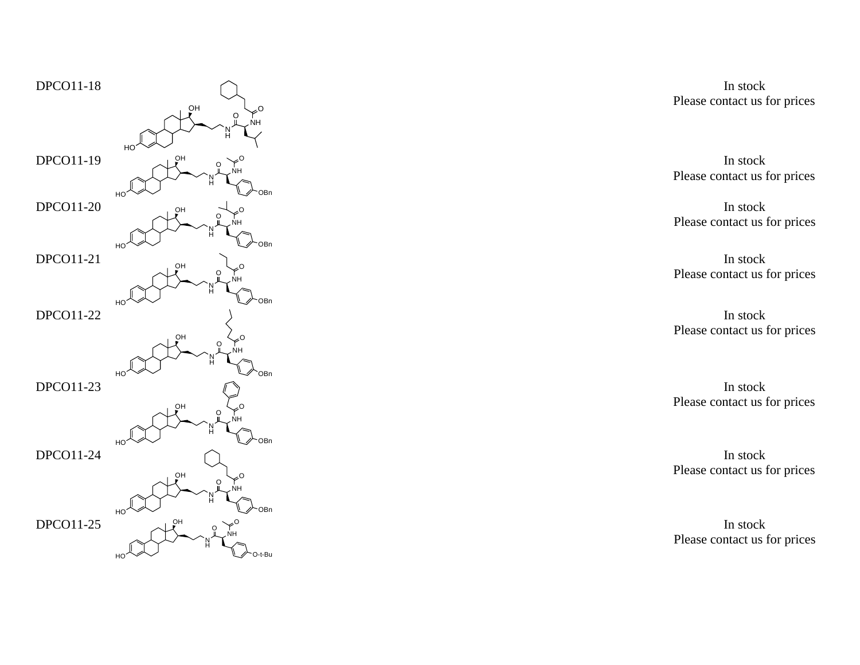

In stock Please contact us for prices

In stock Please contact us for prices

In stock Please contact us for prices

Please contact us for prices In stock

Please contact us for prices In stock

In stock Please contact us for prices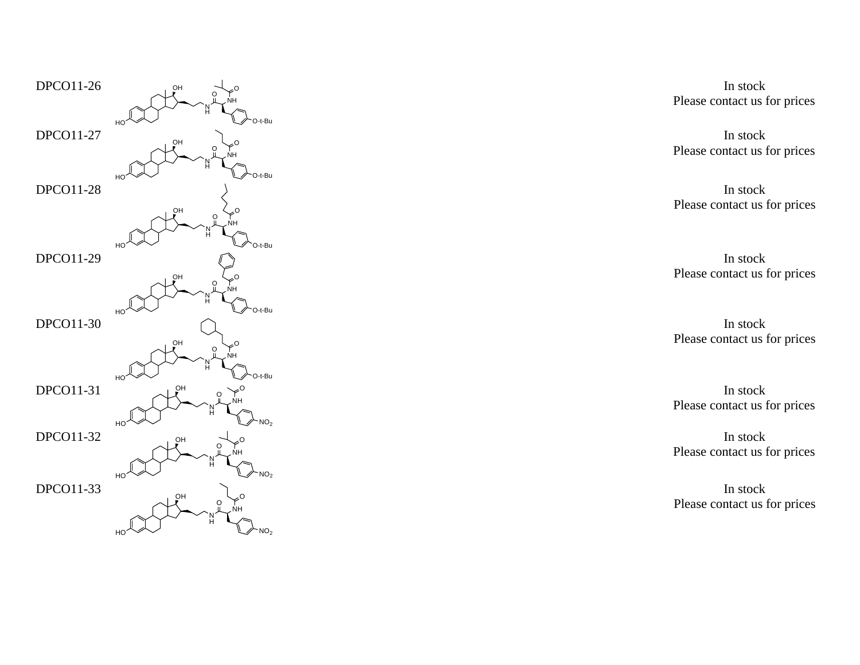

In stock Please contact us for prices

Please contact us for prices In stock

Please contact us for prices In stock

Please contact us for prices In stock

Please contact us for prices In stock

In stock Please contact us for prices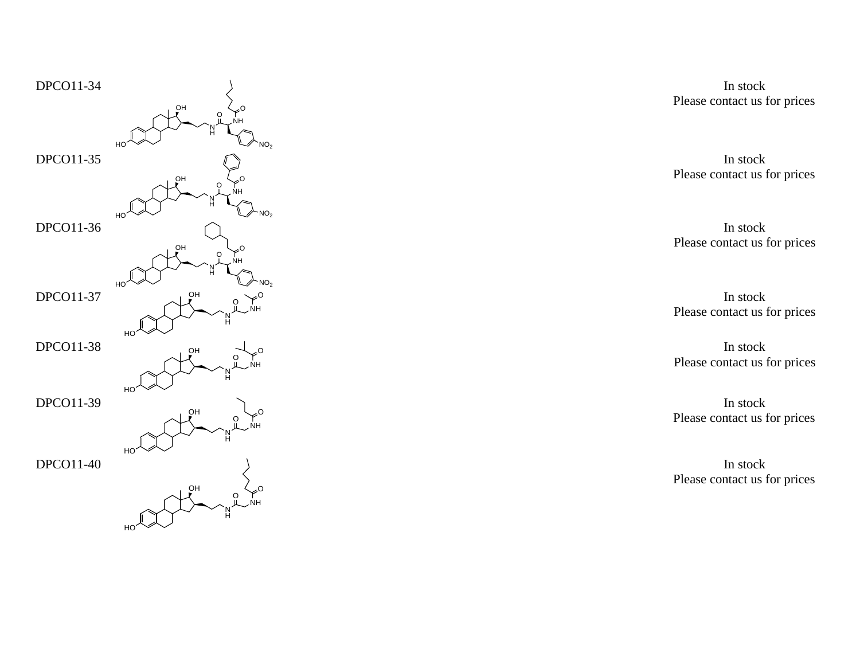

In stock Please contact us for prices

In stock Please contact us for prices

In stock Please contact us for prices

o and the state of the state of the state of the state of the state of the state of the state of the state of the state of the state of the state of the state of the state of the state of the state of the state of the stat Please contact us for prices

> In stock Please contact us for prices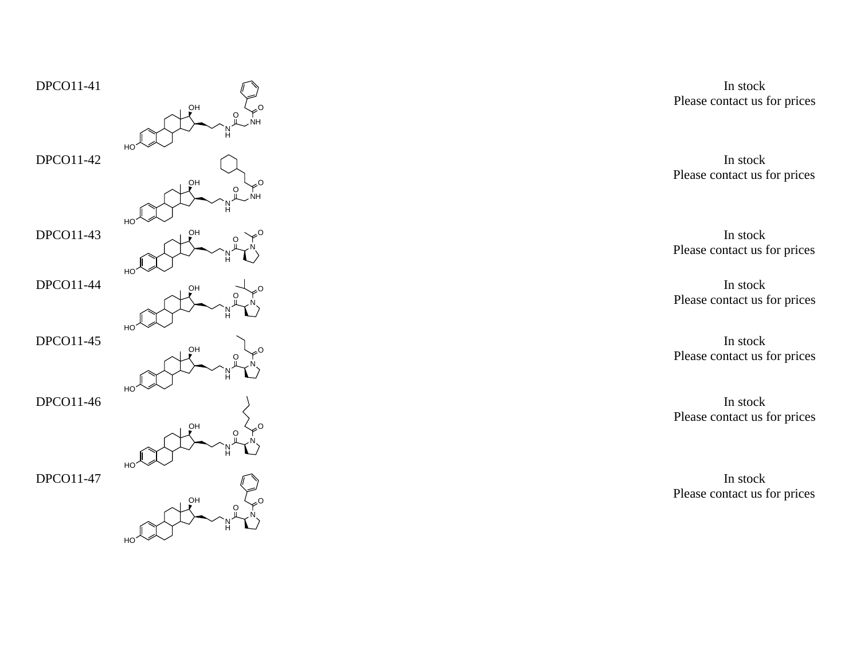

Please contact us for prices In stock

o and the stock of the stock of the stock of the stock of the stock of the stock of the stock of the stock of the stock of the stock of the stock of the stock of the stock of the stock of the stock of the stock of the stoc In stock Please contact us for prices

> Please contact us for prices In stock

> In stock Please contact us for prices

> In stock Please contact us for prices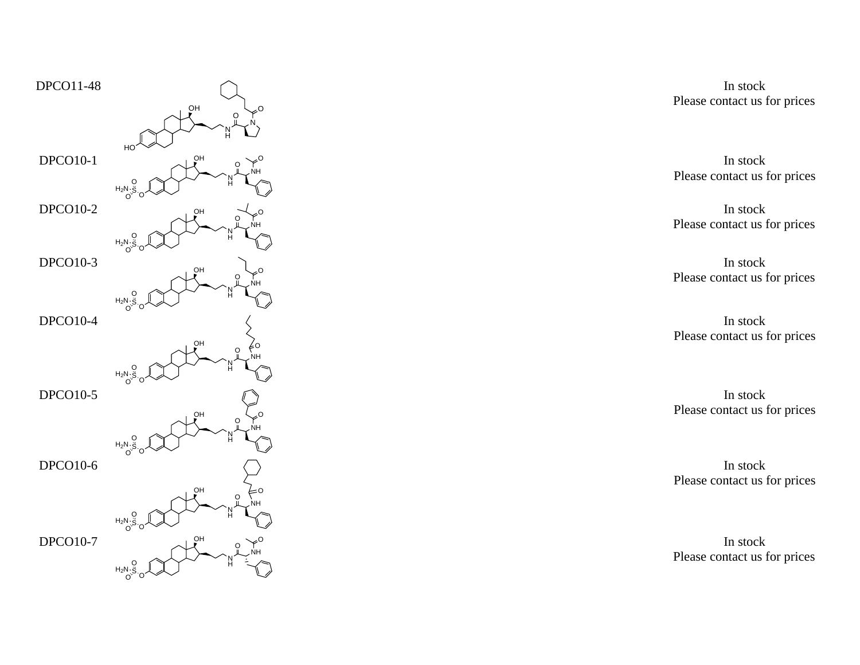

In stock Please contact us for prices

In stock Please contact us for prices

In stock Please contact us for prices

Please contact us for prices In stock

Please contact us for prices In stock

Please contact us for prices In stock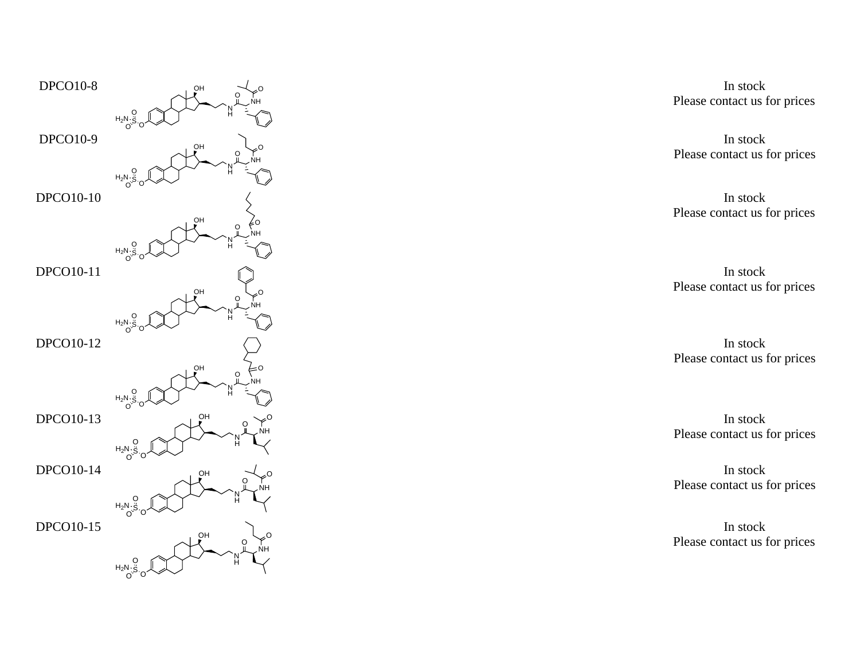

In stock Please contact us for prices

Please contact us for prices In stock

In stock Please contact us for prices

In stock Please contact us for prices

In stock Please contact us for prices

In stock Please contact us for prices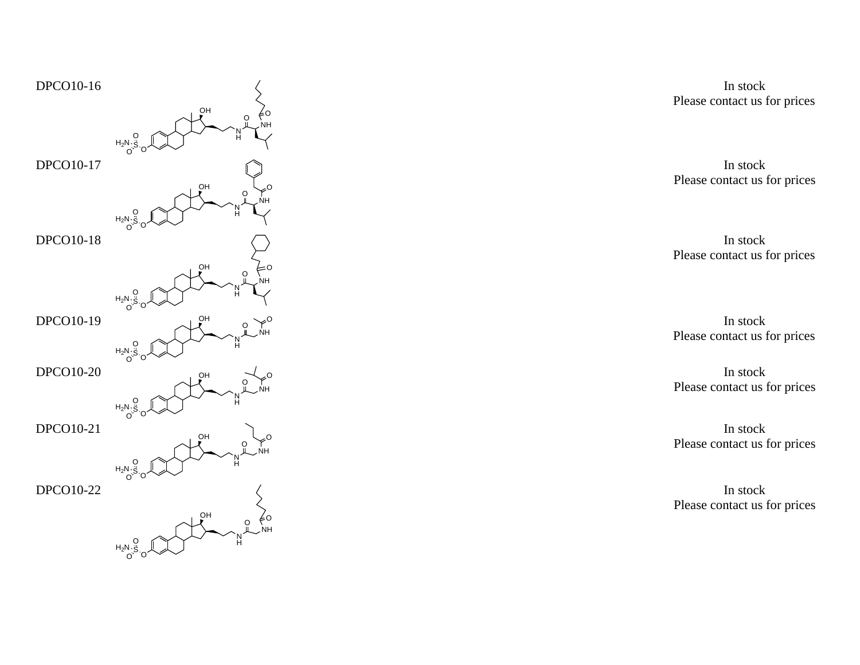

In stock Please contact us for prices

In stock Please contact us for prices

In stock Please contact us for prices

Please contact us for prices In stock

In stock Please contact us for prices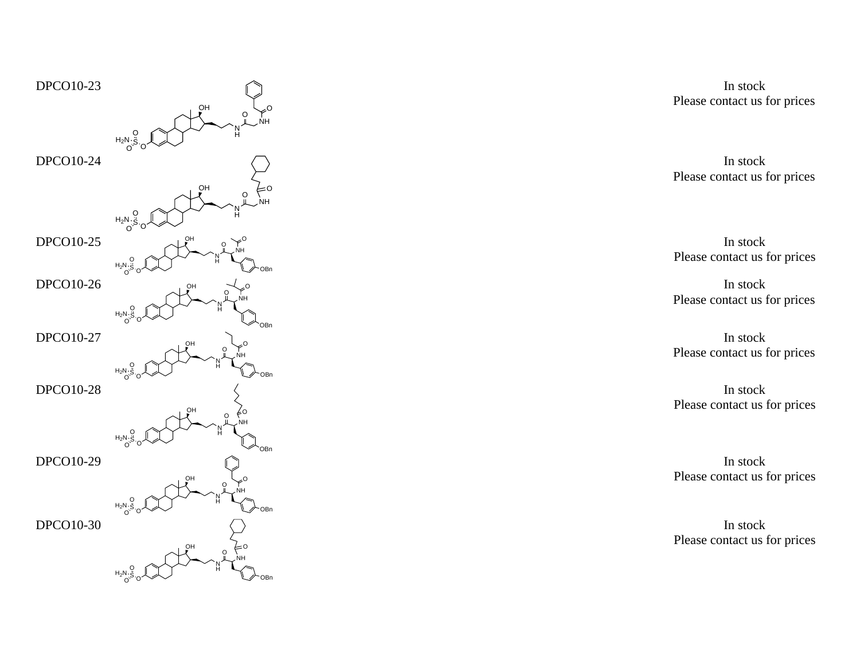

In stock Please contact us for prices

In stock Please contact us for prices

In stock Please contact us for prices

In stock Please contact us for prices

Please contact us for prices In stock

Please contact us for prices In stock

Please contact us for prices In stock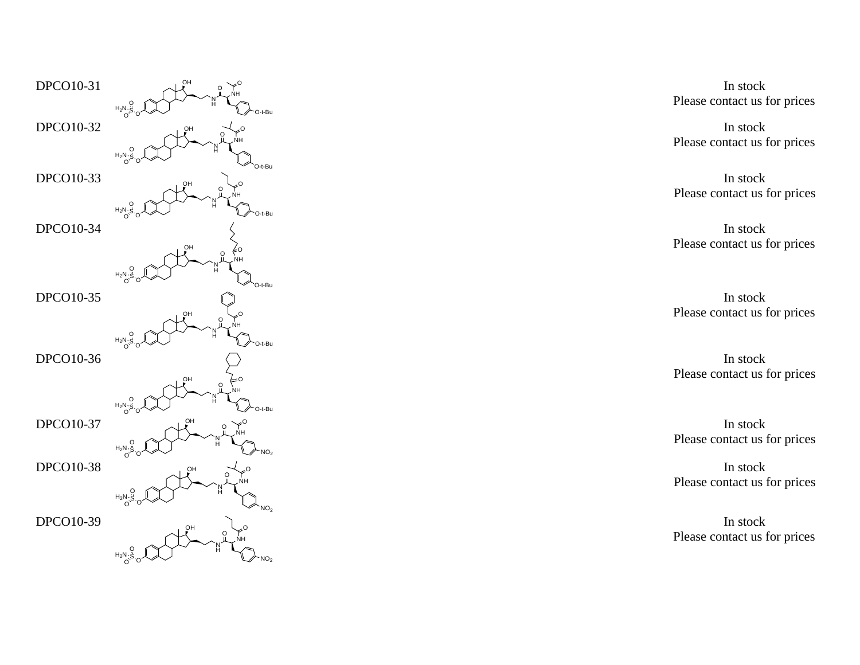

In stock Please contact us for prices

In stock Please contact us for prices

In stock Please contact us for prices

Please contact us for prices In stock

In stock Please contact us for prices

In stock Please contact us for prices

In stock Please contact us for prices

Please contact us for prices In stock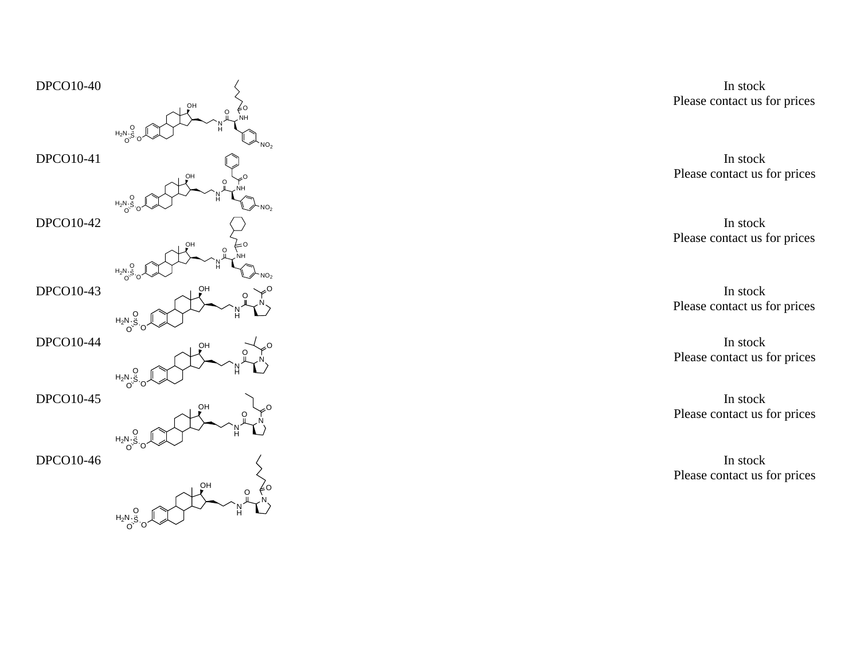

OHNHOONS O  $^{H_2N}$ O O

In stock Please contact us for prices

In stock Please contact us for prices

In stock Please contact us for prices

In stock Please contact us for prices

In stock Please contact us for prices

In stock Please contact us for prices